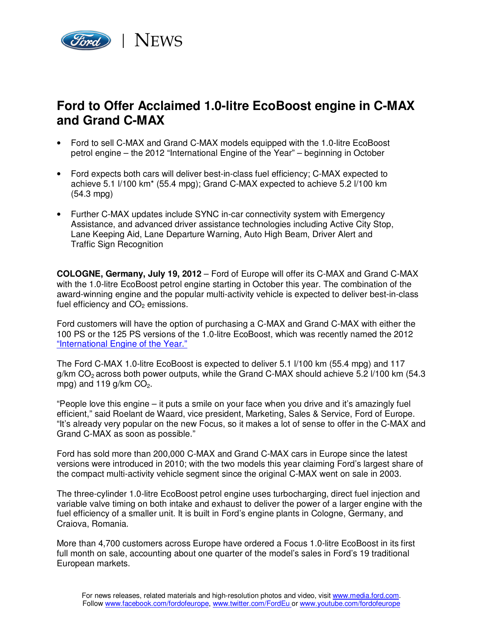

## **Ford to Offer Acclaimed 1.0-litre EcoBoost engine in C-MAX and Grand C-MAX**

- Ford to sell C-MAX and Grand C-MAX models equipped with the 1.0-litre EcoBoost petrol engine – the 2012 "International Engine of the Year" – beginning in October
- Ford expects both cars will deliver best-in-class fuel efficiency; C-MAX expected to achieve 5.1 l/100 km\* (55.4 mpg); Grand C-MAX expected to achieve 5.2 l/100 km (54.3 mpg)
- Further C-MAX updates include SYNC in-car connectivity system with Emergency Assistance, and advanced driver assistance technologies including Active City Stop, Lane Keeping Aid, Lane Departure Warning, Auto High Beam, Driver Alert and Traffic Sign Recognition

**COLOGNE, Germany, July 19, 2012** – Ford of Europe will offer its C-MAX and Grand C-MAX with the 1.0-litre EcoBoost petrol engine starting in October this year. The combination of the award-winning engine and the popular multi-activity vehicle is expected to deliver best-in-class fuel efficiency and  $CO<sub>2</sub>$  emissions.

Ford customers will have the option of purchasing a C-MAX and Grand C-MAX with either the 100 PS or the 125 PS versions of the 1.0-litre EcoBoost, which was recently named the 2012 "International Engine of the Year."

The Ford C-MAX 1.0-litre EcoBoost is expected to deliver 5.1 l/100 km (55.4 mpg) and 117  $q/km$  CO<sub>2</sub> across both power outputs, while the Grand C-MAX should achieve 5.2  $1/100$  km (54.3 mpg) and 119  $g/km$  CO<sub>2</sub>.

"People love this engine – it puts a smile on your face when you drive and it's amazingly fuel efficient," said Roelant de Waard, vice president, Marketing, Sales & Service, Ford of Europe. "It's already very popular on the new Focus, so it makes a lot of sense to offer in the C-MAX and Grand C-MAX as soon as possible."

Ford has sold more than 200,000 C-MAX and Grand C-MAX cars in Europe since the latest versions were introduced in 2010; with the two models this year claiming Ford's largest share of the compact multi-activity vehicle segment since the original C-MAX went on sale in 2003.

The three-cylinder 1.0-litre EcoBoost petrol engine uses turbocharging, direct fuel injection and variable valve timing on both intake and exhaust to deliver the power of a larger engine with the fuel efficiency of a smaller unit. It is built in Ford's engine plants in Cologne, Germany, and Craiova, Romania.

More than 4,700 customers across Europe have ordered a Focus 1.0-litre EcoBoost in its first full month on sale, accounting about one quarter of the model's sales in Ford's 19 traditional European markets.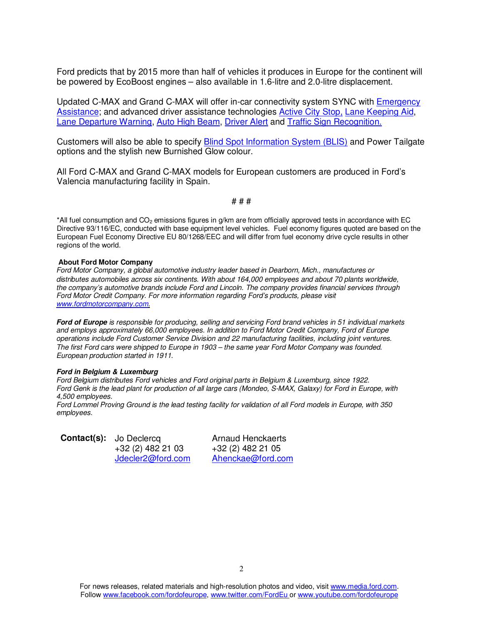Ford predicts that by 2015 more than half of vehicles it produces in Europe for the continent will be powered by EcoBoost engines – also available in 1.6-litre and 2.0-litre displacement.

Updated C-MAX and Grand C-MAX will offer in-car connectivity system SYNC with Emergency Assistance; and advanced driver assistance technologies Active City Stop, Lane Keeping Aid, Lane Departure Warning, Auto High Beam, Driver Alert and Traffic Sign Recognition.

Customers will also be able to specify Blind Spot Information System (BLIS) and Power Tailgate options and the stylish new Burnished Glow colour.

All Ford C-MAX and Grand C-MAX models for European customers are produced in Ford's Valencia manufacturing facility in Spain.

# # #

\*All fuel consumption and  $CO<sub>2</sub>$  emissions figures in g/km are from officially approved tests in accordance with EC Directive 93/116/EC, conducted with base equipment level vehicles. Fuel economy figures quoted are based on the European Fuel Economy Directive EU 80/1268/EEC and will differ from fuel economy drive cycle results in other regions of the world.

## **About Ford Motor Company**

Ford Motor Company, a global automotive industry leader based in Dearborn, Mich., manufactures or distributes automobiles across six continents. With about 164,000 employees and about 70 plants worldwide, the company's automotive brands include Ford and Lincoln. The company provides financial services through Ford Motor Credit Company. For more information regarding Ford's products, please visit www.fordmotorcompany.com.

Ford of Europe is responsible for producing, selling and servicing Ford brand vehicles in 51 individual markets and employs approximately 66,000 employees. In addition to Ford Motor Credit Company, Ford of Europe operations include Ford Customer Service Division and 22 manufacturing facilities, including joint ventures. The first Ford cars were shipped to Europe in 1903 – the same year Ford Motor Company was founded. European production started in 1911.

## **Ford in Belgium & Luxemburg**

Ford Belgium distributes Ford vehicles and Ford original parts in Belgium & Luxemburg, since 1922. Ford Genk is the lead plant for production of all large cars (Mondeo, S-MAX, Galaxy) for Ford in Europe, with 4,500 employees.

Ford Lommel Proving Ground is the lead testing facility for validation of all Ford models in Europe, with 350 employees.

**Contact(s):** Jo Declercq **Arnaud Henckaerts** +32 (2) 482 21 03 +32 (2) 482 21 05

Jdecler2@ford.com Ahenckae@ford.com